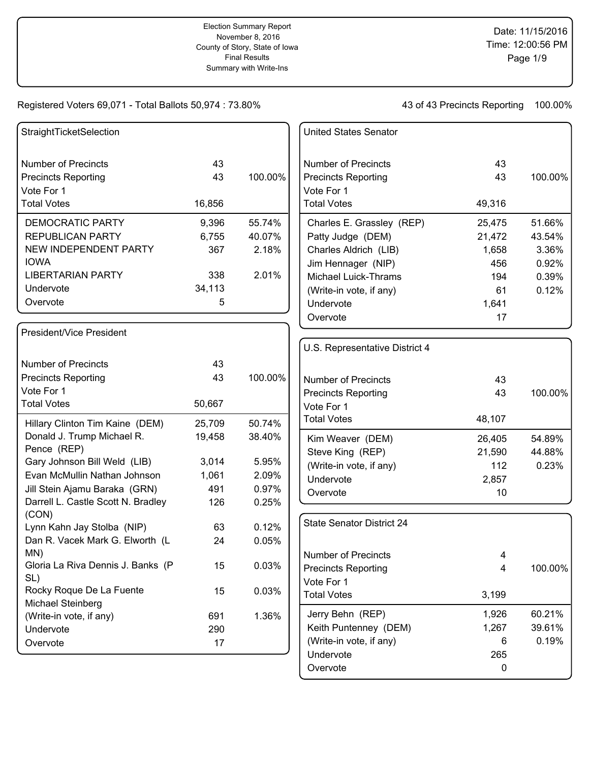| StraightTicketSelection                |        |         | <b>United States Senator</b>             |                |         |
|----------------------------------------|--------|---------|------------------------------------------|----------------|---------|
| <b>Number of Precincts</b>             | 43     |         | <b>Number of Precincts</b>               | 43             |         |
| <b>Precincts Reporting</b>             | 43     | 100.00% | <b>Precincts Reporting</b>               | 43             | 100.00% |
| Vote For 1                             |        |         | Vote For 1                               |                |         |
| <b>Total Votes</b>                     | 16,856 |         | <b>Total Votes</b>                       | 49,316         |         |
| <b>DEMOCRATIC PARTY</b>                | 9,396  | 55.74%  | Charles E. Grassley (REP)                | 25,475         | 51.66%  |
| <b>REPUBLICAN PARTY</b>                | 6,755  | 40.07%  | Patty Judge (DEM)                        | 21,472         | 43.54%  |
| NEW INDEPENDENT PARTY                  | 367    | 2.18%   | Charles Aldrich (LIB)                    | 1,658          | 3.36%   |
| <b>IOWA</b>                            |        |         | Jim Hennager (NIP)                       | 456            | 0.92%   |
| <b>LIBERTARIAN PARTY</b>               | 338    | 2.01%   | <b>Michael Luick-Thrams</b>              | 194            | 0.39%   |
| Undervote                              | 34,113 |         | (Write-in vote, if any)                  | 61             | 0.12%   |
| Overvote                               | 5      |         | Undervote                                | 1,641          |         |
|                                        |        |         | Overvote                                 | 17             |         |
| President/Vice President               |        |         |                                          |                |         |
|                                        |        |         | U.S. Representative District 4           |                |         |
| <b>Number of Precincts</b>             | 43     |         |                                          |                |         |
| <b>Precincts Reporting</b>             | 43     | 100.00% | <b>Number of Precincts</b>               | 43             |         |
| Vote For 1                             |        |         | <b>Precincts Reporting</b>               | 43             | 100.00% |
| <b>Total Votes</b>                     | 50,667 |         | Vote For 1                               |                |         |
| Hillary Clinton Tim Kaine (DEM)        | 25,709 | 50.74%  | <b>Total Votes</b>                       | 48,107         |         |
| Donald J. Trump Michael R.             | 19,458 | 38.40%  | Kim Weaver (DEM)                         | 26,405         | 54.89%  |
| Pence (REP)                            |        |         | Steve King (REP)                         | 21,590         | 44.88%  |
| Gary Johnson Bill Weld (LIB)           | 3,014  | 5.95%   | (Write-in vote, if any)                  | 112            | 0.23%   |
| Evan McMullin Nathan Johnson           | 1,061  | 2.09%   | Undervote                                | 2,857          |         |
| Jill Stein Ajamu Baraka (GRN)          | 491    | 0.97%   | Overvote                                 | 10             |         |
| Darrell L. Castle Scott N. Bradley     | 126    | 0.25%   |                                          |                |         |
| (CON)                                  |        |         | <b>State Senator District 24</b>         |                |         |
| Lynn Kahn Jay Stolba (NIP)             | 63     | 0.12%   |                                          |                |         |
| Dan R. Vacek Mark G. Elworth (L<br>MN) | 24     | 0.05%   |                                          |                |         |
| Gloria La Riva Dennis J. Banks (P      | 15     | 0.03%   | <b>Number of Precincts</b>               | 4              | 100.00% |
| SL)                                    |        |         | <b>Precincts Reporting</b><br>Vote For 1 | $\overline{4}$ |         |
| Rocky Roque De La Fuente               | 15     | 0.03%   | <b>Total Votes</b>                       | 3,199          |         |
| Michael Steinberg                      |        |         |                                          |                |         |
| (Write-in vote, if any)                | 691    | 1.36%   | Jerry Behn (REP)                         | 1,926          | 60.21%  |
| Undervote                              | 290    |         | Keith Puntenney (DEM)                    | 1,267          | 39.61%  |
| Overvote                               | 17     |         | (Write-in vote, if any)                  | 6              | 0.19%   |
|                                        |        |         | Undervote                                | 265            |         |
|                                        |        |         | Overvote                                 | 0              |         |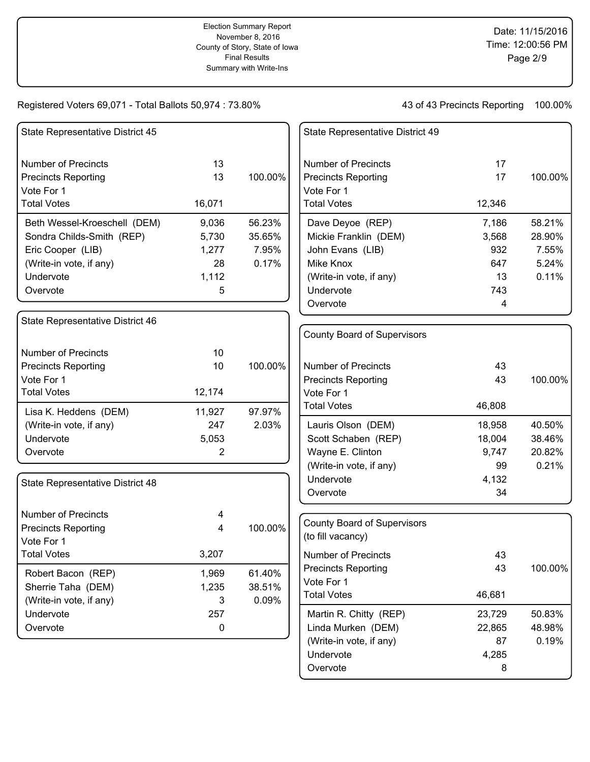43 of 43 Precincts Reporting 100.00%

| State Representative District 45     |             |         | State Representative District 49   |        |         |
|--------------------------------------|-------------|---------|------------------------------------|--------|---------|
| <b>Number of Precincts</b>           | 13          |         | <b>Number of Precincts</b>         | 17     |         |
| <b>Precincts Reporting</b>           | 13          | 100.00% | <b>Precincts Reporting</b>         | 17     | 100.00% |
| Vote For 1                           |             |         | Vote For 1                         |        |         |
| <b>Total Votes</b>                   | 16,071      |         | <b>Total Votes</b>                 | 12,346 |         |
| Beth Wessel-Kroeschell (DEM)         | 9,036       | 56.23%  | Dave Deyoe (REP)                   | 7,186  | 58.21%  |
| Sondra Childs-Smith (REP)            | 5,730       | 35.65%  | Mickie Franklin (DEM)              | 3,568  | 28.90%  |
| Eric Cooper (LIB)                    | 1,277       | 7.95%   | John Evans (LIB)                   | 932    | 7.55%   |
| (Write-in vote, if any)              | 28          | 0.17%   | Mike Knox                          | 647    | 5.24%   |
| Undervote                            | 1,112       |         | (Write-in vote, if any)            | 13     | 0.11%   |
| Overvote                             | 5           |         | Undervote                          | 743    |         |
|                                      |             |         | Overvote                           | 4      |         |
| State Representative District 46     |             |         |                                    |        |         |
|                                      |             |         | County Board of Supervisors        |        |         |
| <b>Number of Precincts</b>           | 10          |         |                                    |        |         |
| <b>Precincts Reporting</b>           | 10          | 100.00% | <b>Number of Precincts</b>         | 43     |         |
| Vote For 1                           |             |         | <b>Precincts Reporting</b>         | 43     | 100.00% |
| <b>Total Votes</b>                   | 12,174      |         | Vote For 1                         |        |         |
| Lisa K. Heddens (DEM)                | 11,927      | 97.97%  | <b>Total Votes</b>                 | 46,808 |         |
| (Write-in vote, if any)              | 247         | 2.03%   | Lauris Olson (DEM)                 | 18,958 | 40.50%  |
| Undervote                            | 5,053       |         | Scott Schaben (REP)                | 18,004 | 38.46%  |
| Overvote                             | 2           |         | Wayne E. Clinton                   | 9,747  | 20.82%  |
|                                      |             |         | (Write-in vote, if any)            | 99     | 0.21%   |
| State Representative District 48     |             |         | Undervote                          | 4,132  |         |
|                                      |             |         | Overvote                           | 34     |         |
| <b>Number of Precincts</b>           | 4           |         |                                    |        |         |
| <b>Precincts Reporting</b>           | 4           | 100.00% | <b>County Board of Supervisors</b> |        |         |
| Vote For 1                           |             |         | (to fill vacancy)                  |        |         |
| <b>Total Votes</b>                   | 3,207       |         | <b>Number of Precincts</b>         | 43     |         |
| Robert Bacon (REP)                   | 1,969       | 61.40%  | <b>Precincts Reporting</b>         | 43     | 100.00% |
| Sherrie Taha (DEM)                   | 1,235       | 38.51%  | Vote For 1                         |        |         |
|                                      | 3           | 0.09%   | <b>Total Votes</b>                 | 46,681 |         |
| (Write-in vote, if any)<br>Undervote | 257         |         | Martin R. Chitty (REP)             | 23,729 | 50.83%  |
| Overvote                             | $\mathbf 0$ |         | Linda Murken (DEM)                 | 22,865 | 48.98%  |
|                                      |             |         | (Write-in vote, if any)            | 87     | 0.19%   |
|                                      |             |         | Undervote                          | 4,285  |         |
|                                      |             |         |                                    |        |         |

Overvote 8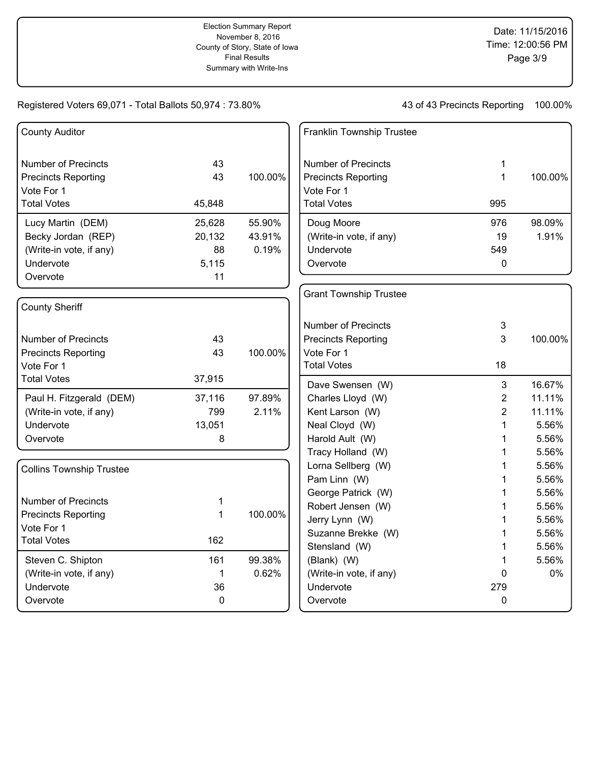| <b>County Auditor</b>           |        |         | Franklin Township Trustee     |                |         |
|---------------------------------|--------|---------|-------------------------------|----------------|---------|
| <b>Number of Precincts</b>      | 43     |         | <b>Number of Precincts</b>    | 1              |         |
| <b>Precincts Reporting</b>      | 43     | 100.00% | <b>Precincts Reporting</b>    | $\mathbf{1}$   | 100.00% |
| Vote For 1                      |        |         | Vote For 1                    |                |         |
| <b>Total Votes</b>              | 45,848 |         | <b>Total Votes</b>            | 995            |         |
| Lucy Martin (DEM)               | 25,628 | 55.90%  | Doug Moore                    | 976            | 98.09%  |
| Becky Jordan (REP)              | 20,132 | 43.91%  | (Write-in vote, if any)       | 19             | 1.91%   |
| (Write-in vote, if any)         | 88     | 0.19%   | Undervote                     | 549            |         |
| Undervote                       | 5,115  |         | Overvote                      | 0              |         |
| Overvote                        | 11     |         |                               |                |         |
|                                 |        |         | <b>Grant Township Trustee</b> |                |         |
| <b>County Sheriff</b>           |        |         |                               |                |         |
|                                 |        |         | <b>Number of Precincts</b>    | 3              |         |
| <b>Number of Precincts</b>      | 43     |         | <b>Precincts Reporting</b>    | 3              | 100.00% |
| <b>Precincts Reporting</b>      | 43     | 100.00% | Vote For 1                    |                |         |
| Vote For 1                      |        |         | <b>Total Votes</b>            | 18             |         |
| <b>Total Votes</b>              | 37,915 |         | Dave Swensen (W)              | $\mathbf{3}$   | 16.67%  |
| Paul H. Fitzgerald (DEM)        | 37,116 | 97.89%  | Charles Lloyd (W)             | $\overline{2}$ | 11.11%  |
| (Write-in vote, if any)         | 799    | 2.11%   | Kent Larson (W)               | $\overline{2}$ | 11.11%  |
| Undervote                       | 13,051 |         | Neal Cloyd (W)                | 1              | 5.56%   |
| Overvote                        | 8      |         | Harold Ault (W)               | 1              | 5.56%   |
|                                 |        |         | Tracy Holland (W)             | 1              | 5.56%   |
| <b>Collins Township Trustee</b> |        |         | Lorna Sellberg (W)            | 1              | 5.56%   |
|                                 |        |         | Pam Linn (W)                  | 1              | 5.56%   |
|                                 |        |         | George Patrick (W)            | 1              | 5.56%   |
| <b>Number of Precincts</b>      | 1      |         | Robert Jensen (W)             | 1              | 5.56%   |
| <b>Precincts Reporting</b>      | 1      | 100.00% | Jerry Lynn (W)                | 1              | 5.56%   |
| Vote For 1                      |        |         | Suzanne Brekke (W)            | 1              | 5.56%   |
| <b>Total Votes</b>              | 162    |         | Stensland (W)                 | 1              | 5.56%   |
| Steven C. Shipton               | 161    | 99.38%  | (Blank) (W)                   | 1              | 5.56%   |
| (Write-in vote, if any)         | 1      | 0.62%   | (Write-in vote, if any)       | 0              | 0%      |
| Undervote                       | 36     |         | Undervote                     | 279            |         |
| Overvote                        | 0      |         | Overvote                      | $\mathbf{0}$   |         |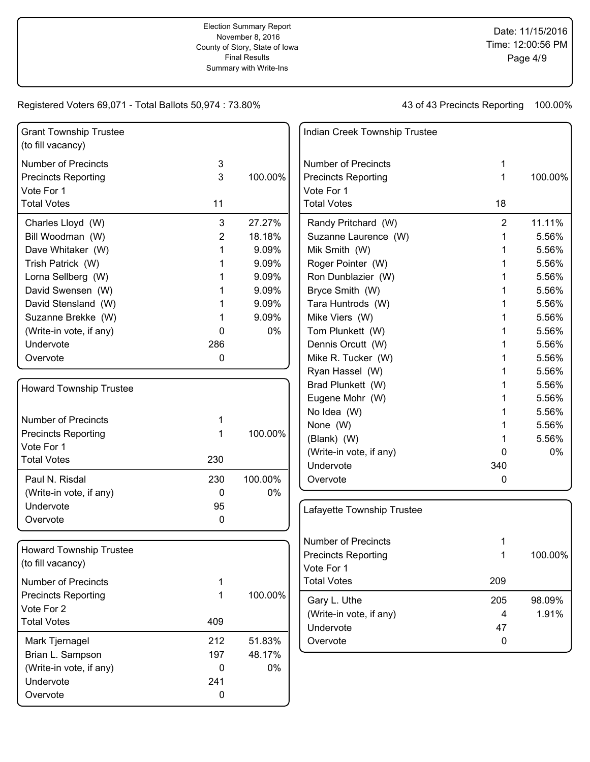| <b>Grant Township Trustee</b><br>(to fill vacancy) |             |         | Indian Creek Township Trustee |                |         |
|----------------------------------------------------|-------------|---------|-------------------------------|----------------|---------|
| <b>Number of Precincts</b>                         | 3           |         | <b>Number of Precincts</b>    |                |         |
| <b>Precincts Reporting</b>                         | 3           | 100.00% | <b>Precincts Reporting</b>    | 1              | 100.00% |
| Vote For 1                                         |             |         | Vote For 1                    |                |         |
| <b>Total Votes</b>                                 | 11          |         | <b>Total Votes</b>            | 18             |         |
| Charles Lloyd (W)                                  | 3           | 27.27%  | Randy Pritchard (W)           | $\overline{2}$ | 11.11%  |
| Bill Woodman (W)                                   | 2           | 18.18%  | Suzanne Laurence (W)          |                | 5.56%   |
| Dave Whitaker (W)                                  | 1           | 9.09%   | Mik Smith (W)                 | 1              | 5.56%   |
| Trish Patrick (W)                                  |             | 9.09%   | Roger Pointer (W)             |                | 5.56%   |
| Lorna Sellberg (W)                                 |             | 9.09%   | Ron Dunblazier (W)            |                | 5.56%   |
| David Swensen (W)                                  |             | 9.09%   | Bryce Smith (W)               |                | 5.56%   |
| David Stensland (W)                                |             | 9.09%   | Tara Huntrods (W)             |                | 5.56%   |
| Suzanne Brekke (W)                                 |             | 9.09%   | Mike Viers (W)                |                | 5.56%   |
| (Write-in vote, if any)                            | 0           | 0%      | Tom Plunkett (W)              |                | 5.56%   |
| Undervote                                          | 286         |         | Dennis Orcutt (W)             |                | 5.56%   |
| Overvote                                           | 0           |         | Mike R. Tucker (W)            |                | 5.56%   |
|                                                    |             |         | Ryan Hassel (W)               |                | 5.56%   |
| <b>Howard Township Trustee</b>                     |             |         | Brad Plunkett (W)             |                | 5.56%   |
|                                                    |             |         | Eugene Mohr (W)               |                | 5.56%   |
|                                                    |             |         | No Idea (W)                   |                | 5.56%   |
| <b>Number of Precincts</b>                         | 1           |         | None (W)                      |                | 5.56%   |
| <b>Precincts Reporting</b>                         | 1           | 100.00% | (Blank) (W)                   |                | 5.56%   |
| Vote For 1                                         |             |         | (Write-in vote, if any)       | 0              | 0%      |
| <b>Total Votes</b>                                 | 230         |         | Undervote                     | 340            |         |
| Paul N. Risdal                                     | 230         | 100.00% | Overvote                      | 0              |         |
| (Write-in vote, if any)                            | 0           | 0%      |                               |                |         |
| Undervote                                          | 95          |         | Lafayette Township Trustee    |                |         |
| Overvote                                           | 0           |         |                               |                |         |
|                                                    |             |         | <b>Number of Precincts</b>    |                |         |
| <b>Howard Township Trustee</b>                     |             |         | <b>Precincts Reporting</b>    | 1              | 100.00% |
| (to fill vacancy)                                  |             |         | Vote For 1                    |                |         |
| <b>Number of Precincts</b>                         | 1           |         | <b>Total Votes</b>            | 209            |         |
| <b>Precincts Reporting</b>                         | 1           | 100.00% |                               |                |         |
| Vote For 2                                         |             |         | Gary L. Uthe                  | 205            | 98.09%  |
| <b>Total Votes</b>                                 | 409         |         | (Write-in vote, if any)       | 4              | 1.91%   |
|                                                    |             |         | Undervote                     | 47             |         |
| Mark Tjernagel                                     | 212         | 51.83%  | Overvote                      | $\mathbf 0$    |         |
| Brian L. Sampson                                   | 197         | 48.17%  |                               |                |         |
| (Write-in vote, if any)                            | $\mathbf 0$ | 0%      |                               |                |         |
| Undervote                                          | 241         |         |                               |                |         |
| Overvote                                           | $\pmb{0}$   |         |                               |                |         |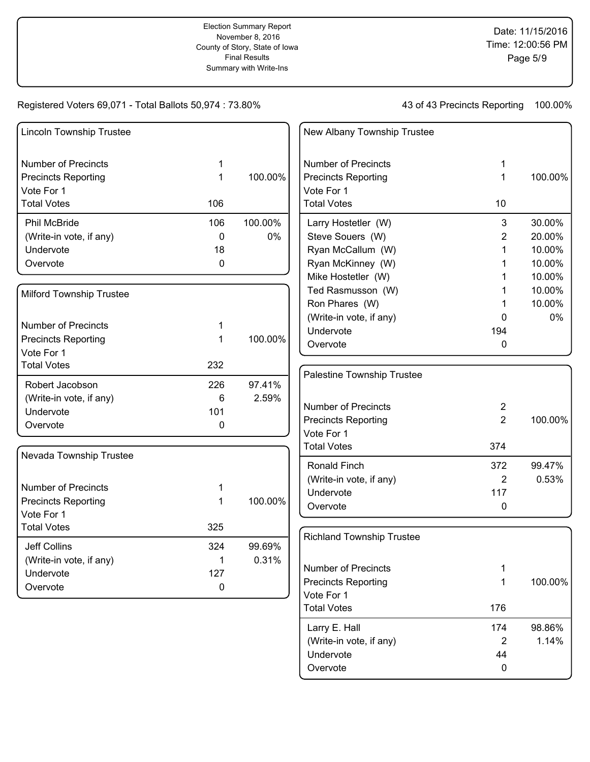43 of 43 Precincts Reporting 100.00%

Larry E. Hall 174 98.86% (Write-in vote, if any)  $2 \t 1.14\%$ 

Undervote 44 Overvote 0

| <b>Lincoln Township Trustee</b>          |              |         | New Albany Township Trustee      |                |         |
|------------------------------------------|--------------|---------|----------------------------------|----------------|---------|
| <b>Number of Precincts</b>               | 1            |         | <b>Number of Precincts</b>       | 1              |         |
| <b>Precincts Reporting</b>               | 1            | 100.00% | <b>Precincts Reporting</b>       | $\mathbf{1}$   | 100.00% |
| Vote For 1                               |              |         | Vote For 1                       |                |         |
| <b>Total Votes</b>                       | 106          |         | <b>Total Votes</b>               | 10             |         |
| <b>Phil McBride</b>                      | 106          | 100.00% | Larry Hostetler (W)              | 3              | 30.00%  |
| (Write-in vote, if any)                  | $\mathbf{0}$ | 0%      | Steve Souers (W)                 | $\overline{2}$ | 20.00%  |
| Undervote                                | 18           |         | Ryan McCallum (W)                | 1              | 10.00%  |
| Overvote                                 | $\mathbf{0}$ |         | Ryan McKinney (W)                | 1              | 10.00%  |
|                                          |              |         | Mike Hostetler (W)               | 1              | 10.00%  |
| <b>Milford Township Trustee</b>          |              |         | Ted Rasmusson (W)                | 1              | 10.00%  |
|                                          |              |         | Ron Phares (W)                   |                | 10.00%  |
|                                          |              |         | (Write-in vote, if any)          | 0              | $0\%$   |
| <b>Number of Precincts</b>               | 1            |         | Undervote                        | 194            |         |
| <b>Precincts Reporting</b><br>Vote For 1 | 1            | 100.00% | Overvote                         | 0              |         |
| <b>Total Votes</b>                       | 232          |         |                                  |                |         |
|                                          |              |         | Palestine Township Trustee       |                |         |
| Robert Jacobson                          | 226          | 97.41%  |                                  |                |         |
| (Write-in vote, if any)                  | 6            | 2.59%   | <b>Number of Precincts</b>       | $\overline{2}$ |         |
| Undervote                                | 101          |         | <b>Precincts Reporting</b>       | $\overline{2}$ | 100.00% |
| Overvote                                 | 0            |         | Vote For 1                       |                |         |
|                                          |              |         | <b>Total Votes</b>               | 374            |         |
| Nevada Township Trustee                  |              |         |                                  |                |         |
|                                          |              |         | Ronald Finch                     | 372            | 99.47%  |
| <b>Number of Precincts</b>               | 1            |         | (Write-in vote, if any)          | $\overline{2}$ | 0.53%   |
| <b>Precincts Reporting</b>               | $\mathbf 1$  | 100.00% | Undervote                        | 117            |         |
| Vote For 1                               |              |         | Overvote                         | 0              |         |
| <b>Total Votes</b>                       | 325          |         |                                  |                |         |
| <b>Jeff Collins</b>                      | 324          | 99.69%  | <b>Richland Township Trustee</b> |                |         |
| (Write-in vote, if any)                  | 1            | 0.31%   |                                  |                |         |
| Undervote                                | 127          |         | Number of Precincts              | 1              |         |
| Overvote                                 | 0            |         | <b>Precincts Reporting</b>       | $\mathbf{1}$   | 100.00% |
|                                          |              |         | Vote For 1                       |                |         |
|                                          |              |         | <b>Total Votes</b>               | 176            |         |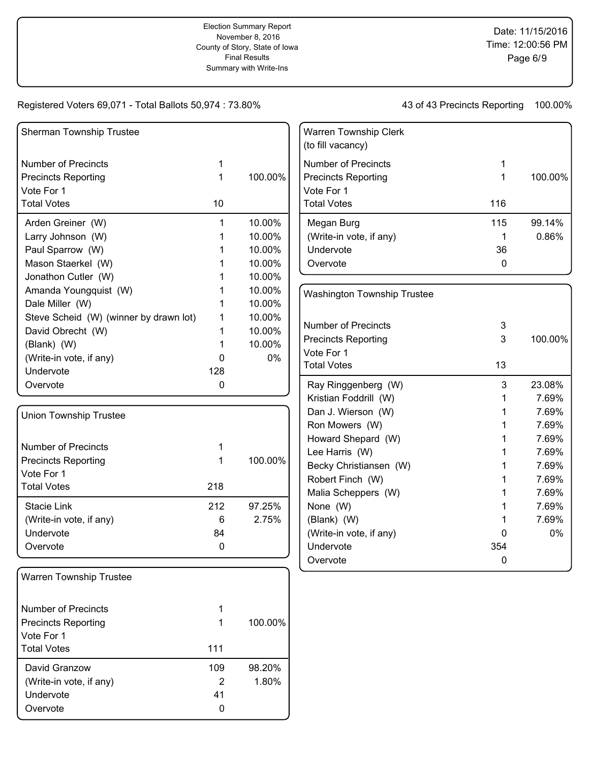| <b>Sherman Township Trustee</b>        |     |         |
|----------------------------------------|-----|---------|
| Number of Precincts                    | 1   |         |
| <b>Precincts Reporting</b>             | 1   | 100.00% |
| Vote For 1                             |     |         |
| <b>Total Votes</b>                     | 10  |         |
| Arden Greiner (W)                      | 1   | 10.00%  |
| Larry Johnson (W)                      | 1   | 10.00%  |
| Paul Sparrow (W)                       | 1   | 10.00%  |
| Mason Staerkel (W)                     | 1   | 10.00%  |
| Jonathon Cutler (W)                    | 1   | 10.00%  |
| Amanda Youngquist (W)                  | 1   | 10.00%  |
| Dale Miller (W)                        | 1   | 10.00%  |
| Steve Scheid (W) (winner by drawn lot) | 1   | 10.00%  |
| David Obrecht (W)                      | 1   | 10.00%  |
| (Blank) (W)                            | 1   | 10.00%  |
| (Write-in vote, if any)                | 0   | 0%      |
| Undervote                              | 128 |         |
| Overvote                               | 0   |         |
| <b>Union Township Trustee</b>          |     |         |
| <b>Number of Precincts</b>             | 1   |         |
| <b>Precincts Reporting</b>             | 1   | 100.00% |
| Vote For 1                             |     |         |
| <b>Total Votes</b>                     | 218 |         |
| Stacie Link                            | 212 | 97.25%  |
| (Write-in vote, if any)                | 6   | 2.75%   |
| Undervote                              | 84  |         |
| Overvote                               | 0   |         |
| <b>Warren Township Trustee</b>         |     |         |
| <b>Number of Precincts</b>             | 1   |         |
| <b>Precincts Reporting</b>             | 1   | 100.00% |
| Vote For 1                             |     |         |
| <b>Total Votes</b>                     | 111 |         |
| David Granzow                          | 109 | 98.20%  |
| (Write-in vote, if any)                | 2   | 1.80%   |
| Undervote                              | 41  |         |
| Overvote                               | 0   |         |

| <b>Warren Township Clerk</b><br>(to fill vacancy) |     |         |
|---------------------------------------------------|-----|---------|
| Number of Precincts                               | 1   |         |
| <b>Precincts Reporting</b>                        | 1   | 100.00% |
| Vote For 1                                        |     |         |
| <b>Total Votes</b>                                | 116 |         |
| Megan Burg                                        | 115 | 99.14%  |
| (Write-in vote, if any)                           | 1   | 0.86%   |
| Undervote                                         | 36  |         |
| Overvote                                          |     |         |
|                                                   |     |         |

| <b>Washington Township Trustee</b> |     |         |
|------------------------------------|-----|---------|
| Number of Precincts                | 3   |         |
| <b>Precincts Reporting</b>         | 3   | 100.00% |
| Vote For 1                         |     |         |
| <b>Total Votes</b>                 | 13  |         |
| Ray Ringgenberg (W)                | 3   | 23.08%  |
| Kristian Foddrill (W)              | 1   | 7.69%   |
| Dan J. Wierson (W)                 | 1   | 7.69%   |
| Ron Mowers (W)                     | 1   | 7.69%   |
| Howard Shepard (W)                 | 1   | 7.69%   |
| Lee Harris (W)                     | 1   | 7.69%   |
| Becky Christiansen (W)             | 1   | 7.69%   |
| Robert Finch (W)                   | 1   | 7.69%   |
| Malia Scheppers (W)                | 1   | 7.69%   |
| None (W)                           | 1   | 7.69%   |
| (Blank) (W)                        | 1   | 7.69%   |
| (Write-in vote, if any)            | O   | 0%      |
| Undervote                          | 354 |         |
| Overvote                           | 0   |         |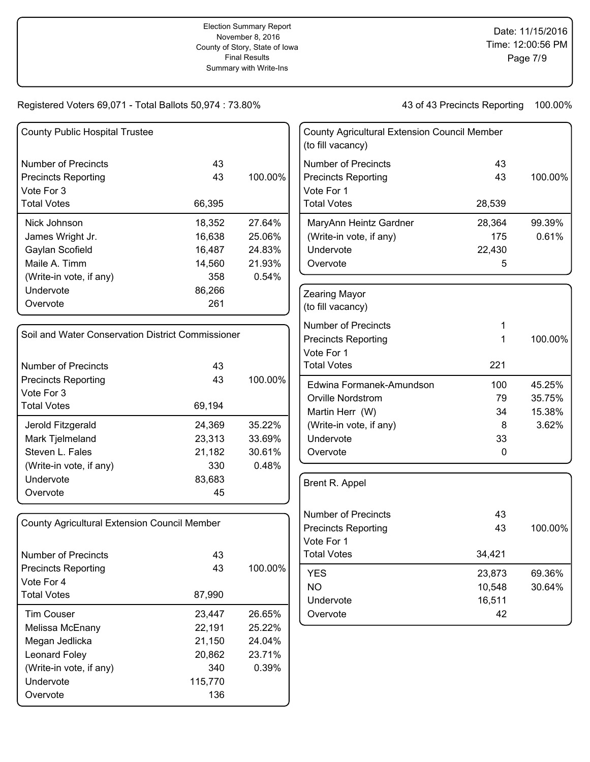| <b>County Public Hospital Trustee</b>               |         |         | <b>County Agricultural Extension Council Member</b><br>(to fill vacancy) |        |         |
|-----------------------------------------------------|---------|---------|--------------------------------------------------------------------------|--------|---------|
| <b>Number of Precincts</b>                          | 43      |         | <b>Number of Precincts</b>                                               | 43     |         |
| <b>Precincts Reporting</b>                          | 43      | 100.00% | <b>Precincts Reporting</b>                                               | 43     | 100.00% |
| Vote For 3                                          |         |         | Vote For 1                                                               |        |         |
| <b>Total Votes</b>                                  | 66,395  |         | <b>Total Votes</b>                                                       | 28,539 |         |
| Nick Johnson                                        | 18,352  | 27.64%  | MaryAnn Heintz Gardner                                                   | 28,364 | 99.39%  |
| James Wright Jr.                                    | 16,638  | 25.06%  | (Write-in vote, if any)                                                  | 175    | 0.61%   |
| Gaylan Scofield                                     | 16,487  | 24.83%  | Undervote                                                                | 22,430 |         |
| Maile A. Timm                                       | 14,560  | 21.93%  | Overvote                                                                 | 5      |         |
| (Write-in vote, if any)                             | 358     | 0.54%   |                                                                          |        |         |
| Undervote                                           | 86,266  |         | Zearing Mayor                                                            |        |         |
| Overvote                                            | 261     |         | (to fill vacancy)                                                        |        |         |
|                                                     |         |         | <b>Number of Precincts</b>                                               |        |         |
| Soil and Water Conservation District Commissioner   |         |         | <b>Precincts Reporting</b>                                               | 1      | 100.00% |
|                                                     |         |         | Vote For 1                                                               |        |         |
| <b>Number of Precincts</b>                          | 43      |         | <b>Total Votes</b>                                                       | 221    |         |
| <b>Precincts Reporting</b>                          | 43      | 100.00% | Edwina Formanek-Amundson                                                 | 100    | 45.25%  |
| Vote For 3                                          |         |         | Orville Nordstrom                                                        | 79     | 35.75%  |
| <b>Total Votes</b>                                  | 69,194  |         | Martin Herr (W)                                                          | 34     | 15.38%  |
| Jerold Fitzgerald                                   | 24,369  | 35.22%  | (Write-in vote, if any)                                                  | 8      | 3.62%   |
| Mark Tjelmeland                                     | 23,313  | 33.69%  | Undervote                                                                | 33     |         |
| Steven L. Fales                                     | 21,182  | 30.61%  | Overvote                                                                 | 0      |         |
| (Write-in vote, if any)                             | 330     | 0.48%   |                                                                          |        |         |
| Undervote                                           | 83,683  |         | Brent R. Appel                                                           |        |         |
| Overvote                                            | 45      |         |                                                                          |        |         |
|                                                     |         |         | <b>Number of Precincts</b>                                               | 43     |         |
| <b>County Agricultural Extension Council Member</b> |         |         | <b>Precincts Reporting</b>                                               | 43     | 100.00% |
|                                                     |         |         | Vote For 1                                                               |        |         |
| <b>Number of Precincts</b>                          | 43      |         | <b>Total Votes</b>                                                       | 34,421 |         |
| <b>Precincts Reporting</b>                          | 43      | 100.00% | <b>YES</b>                                                               | 23,873 | 69.36%  |
| Vote For 4                                          |         |         | <b>NO</b>                                                                | 10,548 | 30.64%  |
| <b>Total Votes</b>                                  | 87,990  |         | Undervote                                                                | 16,511 |         |
| <b>Tim Couser</b>                                   | 23,447  | 26.65%  | Overvote                                                                 | 42     |         |
| Melissa McEnany                                     | 22,191  | 25.22%  |                                                                          |        |         |
| Megan Jedlicka                                      | 21,150  | 24.04%  |                                                                          |        |         |
| Leonard Foley                                       | 20,862  | 23.71%  |                                                                          |        |         |
| (Write-in vote, if any)                             | 340     | 0.39%   |                                                                          |        |         |
| Undervote                                           | 115,770 |         |                                                                          |        |         |
| Overvote                                            | 136     |         |                                                                          |        |         |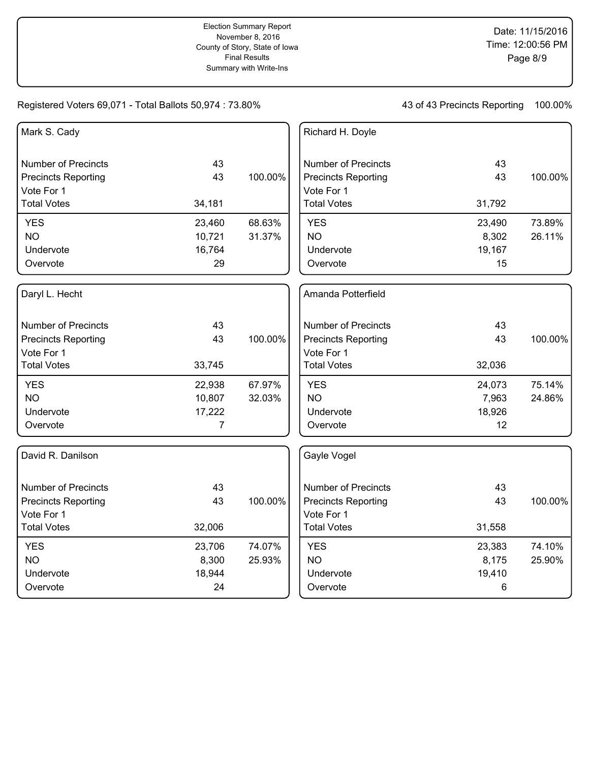| Mark S. Cady               |                |         | Richard H. Doyle           |        |         |
|----------------------------|----------------|---------|----------------------------|--------|---------|
|                            |                |         |                            |        |         |
| <b>Number of Precincts</b> | 43             |         | <b>Number of Precincts</b> | 43     |         |
| <b>Precincts Reporting</b> | 43             | 100.00% | <b>Precincts Reporting</b> | 43     | 100.00% |
| Vote For 1                 |                |         | Vote For 1                 |        |         |
| <b>Total Votes</b>         | 34,181         |         | <b>Total Votes</b>         | 31,792 |         |
| <b>YES</b>                 | 23,460         | 68.63%  | <b>YES</b>                 | 23,490 | 73.89%  |
| <b>NO</b>                  | 10,721         | 31.37%  | <b>NO</b>                  | 8,302  | 26.11%  |
| Undervote                  | 16,764         |         | Undervote                  | 19,167 |         |
| Overvote                   | 29             |         | Overvote                   | 15     |         |
| Daryl L. Hecht             |                |         | Amanda Potterfield         |        |         |
| <b>Number of Precincts</b> | 43             |         | <b>Number of Precincts</b> | 43     |         |
| <b>Precincts Reporting</b> | 43             | 100.00% | <b>Precincts Reporting</b> | 43     | 100.00% |
| Vote For 1                 |                |         | Vote For 1                 |        |         |
| <b>Total Votes</b>         | 33,745         |         | <b>Total Votes</b>         | 32,036 |         |
| <b>YES</b>                 | 22,938         | 67.97%  | <b>YES</b>                 | 24,073 | 75.14%  |
| <b>NO</b>                  | 10,807         | 32.03%  | <b>NO</b>                  | 7,963  | 24.86%  |
| Undervote                  | 17,222         |         | Undervote                  | 18,926 |         |
| Overvote                   | $\overline{7}$ |         | Overvote                   | 12     |         |
| David R. Danilson          |                |         | Gayle Vogel                |        |         |
| <b>Number of Precincts</b> | 43             |         | <b>Number of Precincts</b> | 43     |         |
| <b>Precincts Reporting</b> | 43             | 100.00% | <b>Precincts Reporting</b> | 43     | 100.00% |
| Vote For 1                 |                |         | Vote For 1                 |        |         |
| <b>Total Votes</b>         | 32,006         |         | <b>Total Votes</b>         | 31,558 |         |
| <b>YES</b>                 | 23,706         | 74.07%  | <b>YES</b>                 | 23,383 | 74.10%  |
| <b>NO</b>                  | 8,300          | 25.93%  | <b>NO</b>                  | 8,175  | 25.90%  |
| Undervote                  | 18,944         |         | Undervote                  | 19,410 |         |
| Overvote                   | 24             |         | Overvote                   | 6      |         |